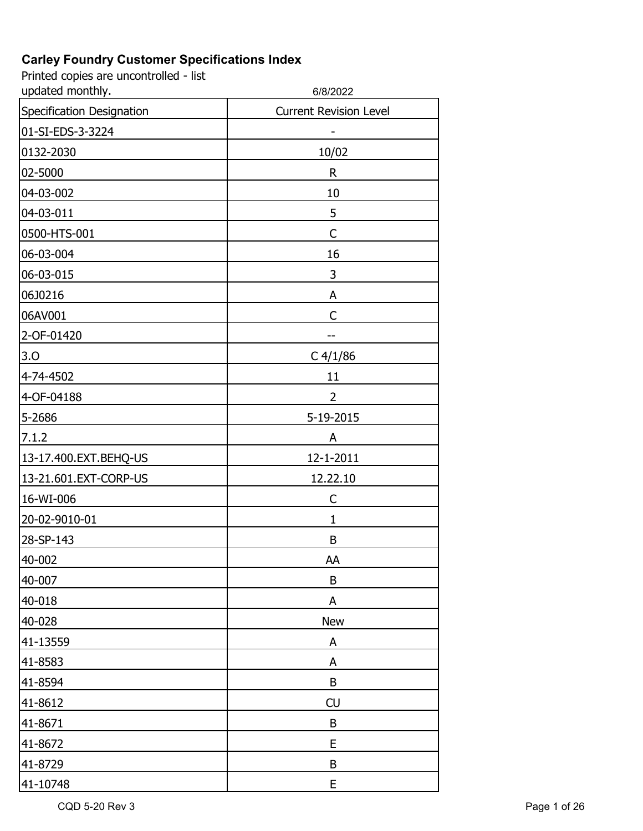| updated monthly.          | 6/8/2022                      |
|---------------------------|-------------------------------|
| Specification Designation | <b>Current Revision Level</b> |
| 01-SI-EDS-3-3224          |                               |
| 0132-2030                 | 10/02                         |
| 02-5000                   | R                             |
| 04-03-002                 | 10                            |
| 04-03-011                 | 5                             |
| 0500-HTS-001              | C                             |
| 06-03-004                 | 16                            |
| 06-03-015                 | 3                             |
| 06J0216                   | A                             |
| 06AV001                   | C                             |
| 2-OF-01420                | --                            |
| 3.0                       | $C$ 4/1/86                    |
| 4-74-4502                 | 11                            |
| 4-OF-04188                | 2                             |
| 5-2686                    | 5-19-2015                     |
| 7.1.2                     | A                             |
| 13-17.400.EXT.BEHQ-US     | 12-1-2011                     |
| 13-21.601.EXT-CORP-US     | 12.22.10                      |
| 16-WI-006                 | C                             |
| 20-02-9010-01             | 1                             |
| 28-SP-143                 | B                             |
| 40-002                    | AA                            |
| 40-007                    | B                             |
| 40-018                    | A                             |
| 40-028                    | <b>New</b>                    |
| 41-13559                  | A                             |
| 41-8583                   | A                             |
| 41-8594                   | B                             |
| 41-8612                   | CU                            |
| 41-8671                   | B                             |
| 41-8672                   | E                             |
| 41-8729                   | B                             |
| 41-10748                  | E                             |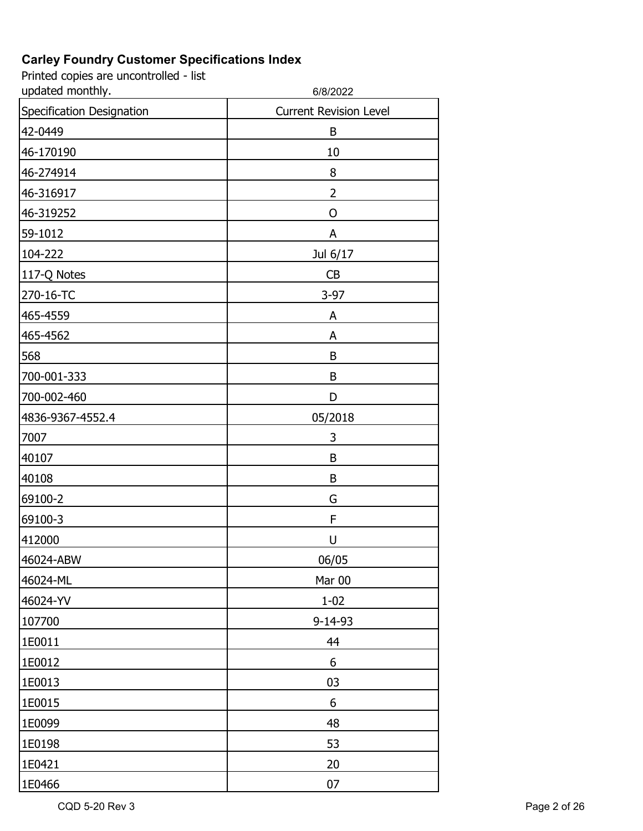| updated monthly.          | 6/8/2022                      |
|---------------------------|-------------------------------|
| Specification Designation | <b>Current Revision Level</b> |
| 42-0449                   | B                             |
| 46-170190                 | 10                            |
| 46-274914                 | 8                             |
| 46-316917                 | 2                             |
| 46-319252                 | O                             |
| 59-1012                   | A                             |
| 104-222                   | Jul 6/17                      |
| 117-Q Notes               | CB                            |
| 270-16-TC                 | $3-97$                        |
| 465-4559                  | A                             |
| 465-4562                  | A                             |
| 568                       | B                             |
| 700-001-333               | B                             |
| 700-002-460               | D                             |
| 4836-9367-4552.4          | 05/2018                       |
| 7007                      | 3                             |
| 40107                     | B                             |
| 40108                     | B                             |
| 69100-2                   | G                             |
| 69100-3                   | F                             |
| 412000                    | U                             |
| 46024-ABW                 | 06/05                         |
| 46024-ML                  | Mar 00                        |
| 46024-YV                  | $1 - 02$                      |
| 107700                    | $9 - 14 - 93$                 |
| 1E0011                    | 44                            |
| 1E0012                    | 6                             |
| 1E0013                    | 03                            |
| 1E0015                    | 6                             |
| 1E0099                    | 48                            |
| 1E0198                    | 53                            |
| 1E0421                    | 20                            |
| 1E0466                    | 07                            |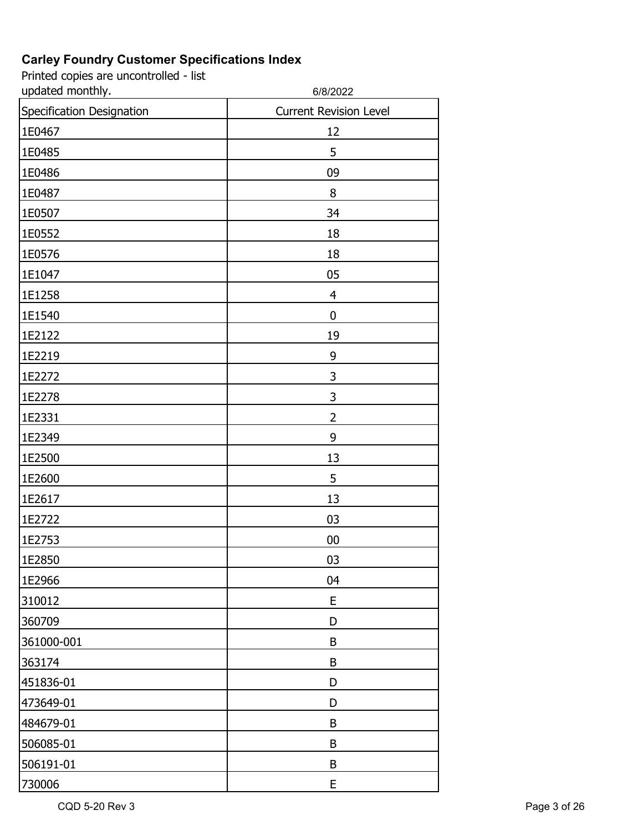| updated monthly.          | 6/8/2022                      |
|---------------------------|-------------------------------|
| Specification Designation | <b>Current Revision Level</b> |
| 1E0467                    | 12                            |
| 1E0485                    | 5                             |
| 1E0486                    | 09                            |
| 1E0487                    | 8                             |
| 1E0507                    | 34                            |
| 1E0552                    | 18                            |
| 1E0576                    | 18                            |
| 1E1047                    | 05                            |
| 1E1258                    | 4                             |
| 1E1540                    | $\boldsymbol{0}$              |
| 1E2122                    | 19                            |
| 1E2219                    | 9                             |
| 1E2272                    | 3                             |
| 1E2278                    | 3                             |
| 1E2331                    | $\overline{2}$                |
| 1E2349                    | 9                             |
| 1E2500                    | 13                            |
| 1E2600                    | 5                             |
| 1E2617                    | 13                            |
| 1E2722                    | 03                            |
| 1E2753                    | 00                            |
| 1E2850                    | 03                            |
| 1E2966                    | 04                            |
| 310012                    | E                             |
| 360709                    | D                             |
| 361000-001                | B                             |
| 363174                    | B                             |
| 451836-01                 | D                             |
| 473649-01                 | D                             |
| 484679-01                 | B                             |
| 506085-01                 | B                             |
| 506191-01                 | B                             |
| 730006                    | E                             |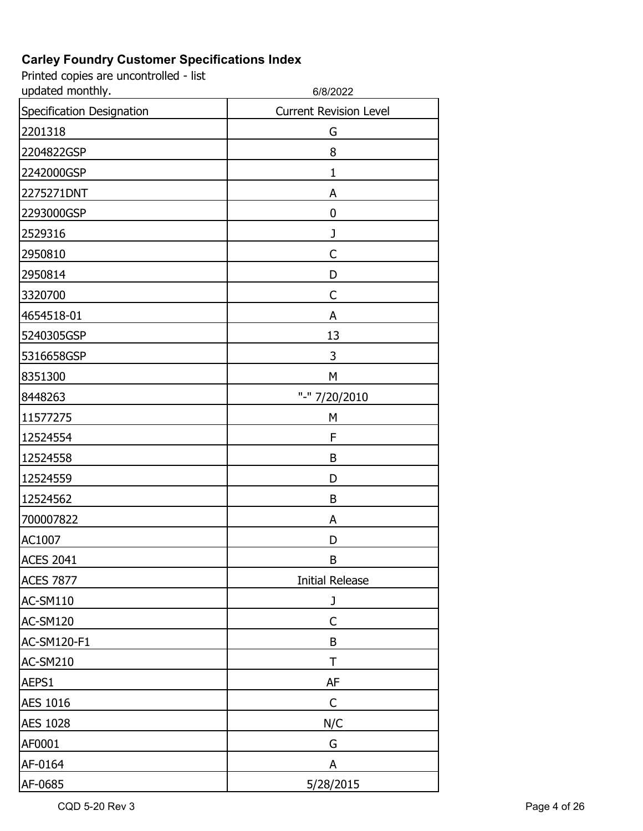| updated monthly.          | 6/8/2022                      |
|---------------------------|-------------------------------|
| Specification Designation | <b>Current Revision Level</b> |
| 2201318                   | G                             |
| 2204822GSP                | 8                             |
| 2242000GSP                | 1                             |
| 2275271DNT                | A                             |
| 2293000GSP                | 0                             |
| 2529316                   | J                             |
| 2950810                   | C                             |
| 2950814                   | D                             |
| 3320700                   | C                             |
| 4654518-01                | A                             |
| 5240305GSP                | 13                            |
| 5316658GSP                | 3                             |
| 8351300                   | M                             |
| 8448263                   | "-" 7/20/2010                 |
| 11577275                  | M                             |
| 12524554                  | F                             |
| 12524558                  | B                             |
| 12524559                  | D                             |
| 12524562                  | B                             |
| 700007822                 | A                             |
| AC1007                    | D                             |
| <b>ACES 2041</b>          | В                             |
| <b>ACES 7877</b>          | <b>Initial Release</b>        |
| AC-SM110                  | J                             |
| AC-SM120                  | $\mathsf{C}$                  |
| AC-SM120-F1               | B                             |
| <b>AC-SM210</b>           | T                             |
| AEPS1                     | AF                            |
| <b>AES 1016</b>           | C                             |
| <b>AES 1028</b>           | N/C                           |
| AF0001                    | G                             |
| AF-0164                   | A                             |
| AF-0685                   | 5/28/2015                     |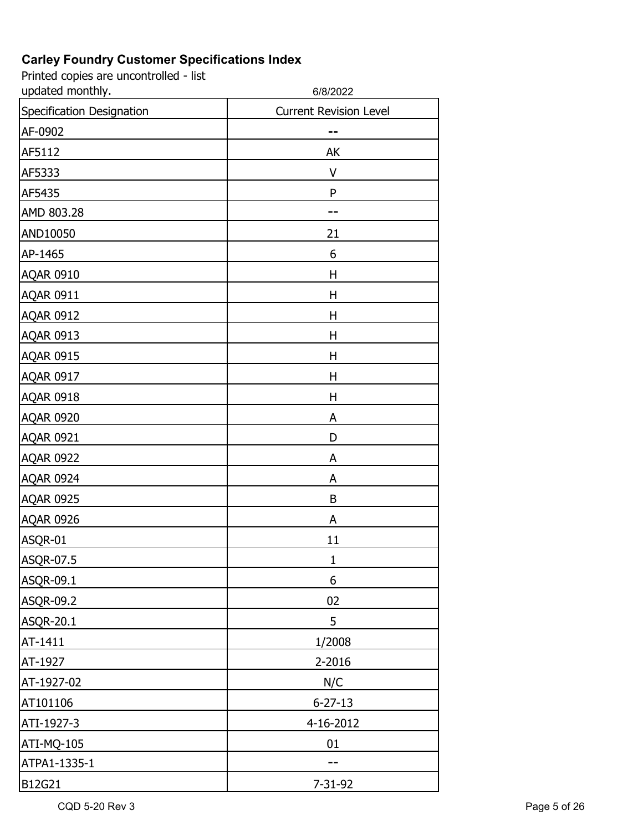Printed copies are uncontrolled - list

| updated monthly.          | 6/8/2022                      |
|---------------------------|-------------------------------|
| Specification Designation | <b>Current Revision Level</b> |
| AF-0902                   |                               |
| AF5112                    | AK                            |
| AF5333                    | V                             |
| AF5435                    | P                             |
| AMD 803.28                |                               |
| AND10050                  | 21                            |
| AP-1465                   | 6                             |
| <b>AQAR 0910</b>          | Η                             |
| <b>AQAR 0911</b>          | Η                             |
| <b>AQAR 0912</b>          | Η                             |
| <b>AQAR 0913</b>          | Н                             |
| <b>AQAR 0915</b>          | Η                             |
| <b>AQAR 0917</b>          | Η                             |
| <b>AQAR 0918</b>          | Η                             |
| <b>AQAR 0920</b>          | A                             |
| <b>AQAR 0921</b>          | D                             |
| <b>AQAR 0922</b>          | A                             |
| <b>AQAR 0924</b>          | A                             |
| <b>AQAR 0925</b>          | B                             |
| <b>AQAR 0926</b>          | A                             |
| ASQR-01                   | 11                            |
| ASQR-07.5                 | $\mathbf{1}$                  |
| ASQR-09.1                 | 6                             |
| ASQR-09.2                 | 02                            |
| <b>ASQR-20.1</b>          | 5                             |
| AT-1411                   | 1/2008                        |
| AT-1927                   | 2-2016                        |
| AT-1927-02                | N/C                           |
| AT101106                  | $6 - 27 - 13$                 |
| ATI-1927-3                | 4-16-2012                     |
| ATI-MQ-105                | 01                            |
| ATPA1-1335-1              |                               |
| B12G21                    | 7-31-92                       |

CQD 5-20 Rev 3 Page 5 of 26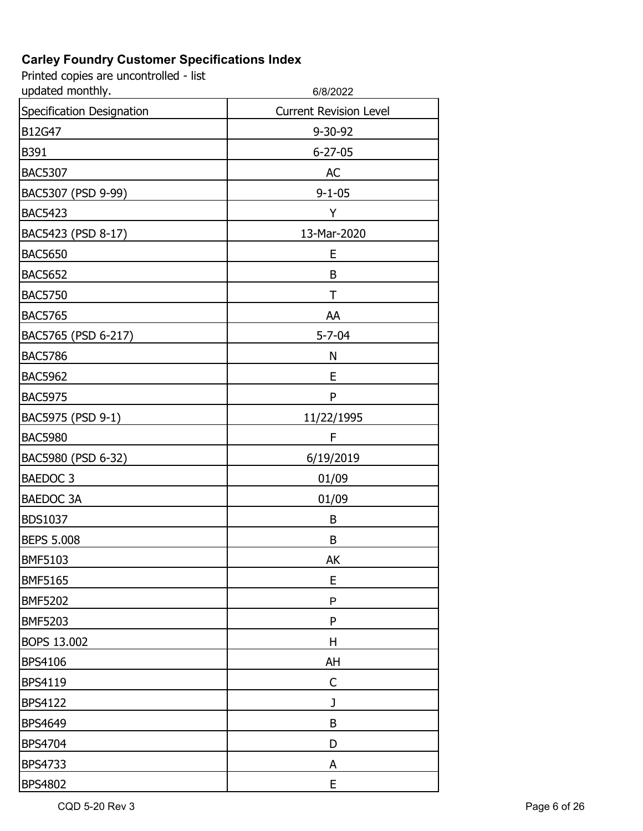| updated monthly.          | 6/8/2022                      |
|---------------------------|-------------------------------|
| Specification Designation | <b>Current Revision Level</b> |
| B12G47                    | 9-30-92                       |
| B391                      | $6 - 27 - 05$                 |
| <b>BAC5307</b>            | <b>AC</b>                     |
| BAC5307 (PSD 9-99)        | $9 - 1 - 05$                  |
| <b>BAC5423</b>            | Υ                             |
| BAC5423 (PSD 8-17)        | 13-Mar-2020                   |
| <b>BAC5650</b>            | E                             |
| <b>BAC5652</b>            | B                             |
| <b>BAC5750</b>            | Τ                             |
| <b>BAC5765</b>            | AA                            |
| BAC5765 (PSD 6-217)       | $5 - 7 - 04$                  |
| <b>BAC5786</b>            | N                             |
| <b>BAC5962</b>            | E                             |
| <b>BAC5975</b>            | P                             |
| BAC5975 (PSD 9-1)         | 11/22/1995                    |
| <b>BAC5980</b>            | F                             |
| BAC5980 (PSD 6-32)        | 6/19/2019                     |
| BAEDOC <sub>3</sub>       | 01/09                         |
| <b>BAEDOC 3A</b>          | 01/09                         |
| <b>BDS1037</b>            | B                             |
| <b>BEPS 5.008</b>         | B                             |
| BMF5103                   | АK                            |
| <b>BMF5165</b>            | E                             |
| <b>BMF5202</b>            | P                             |
| <b>BMF5203</b>            | P                             |
| BOPS 13.002               | H                             |
| <b>BPS4106</b>            | AH                            |
| BPS4119                   | $\mathsf C$                   |
| <b>BPS4122</b>            | J                             |
| <b>BPS4649</b>            | B                             |
| <b>BPS4704</b>            | D                             |
| <b>BPS4733</b>            | Α                             |
| <b>BPS4802</b>            | E                             |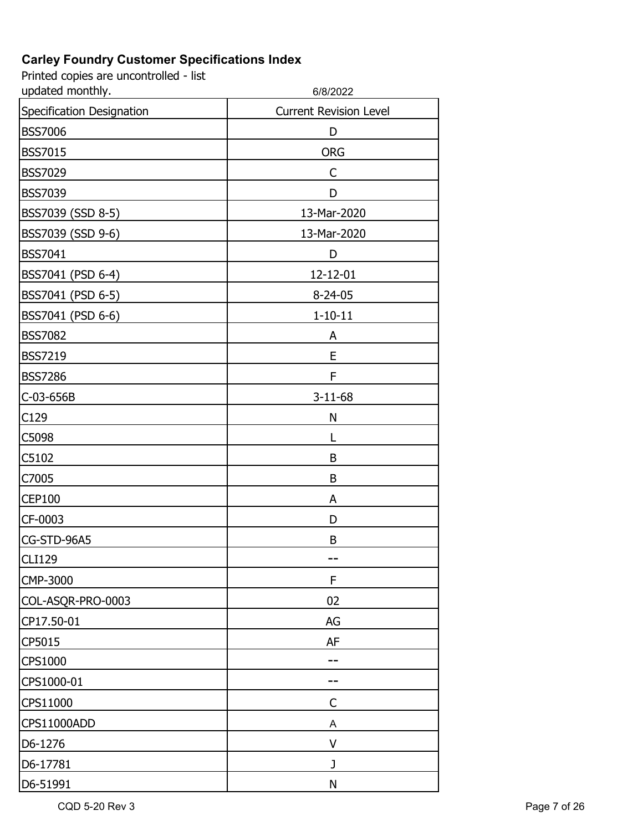| updated monthly.          | 6/8/2022                      |
|---------------------------|-------------------------------|
| Specification Designation | <b>Current Revision Level</b> |
| <b>BSS7006</b>            | D                             |
| <b>BSS7015</b>            | <b>ORG</b>                    |
| <b>BSS7029</b>            | C                             |
| <b>BSS7039</b>            | D                             |
| BSS7039 (SSD 8-5)         | 13-Mar-2020                   |
| BSS7039 (SSD 9-6)         | 13-Mar-2020                   |
| <b>BSS7041</b>            | D                             |
| BSS7041 (PSD 6-4)         | 12-12-01                      |
| BSS7041 (PSD 6-5)         | $8 - 24 - 05$                 |
| BSS7041 (PSD 6-6)         | $1 - 10 - 11$                 |
| <b>BSS7082</b>            | A                             |
| <b>BSS7219</b>            | E                             |
| <b>BSS7286</b>            | F                             |
| C-03-656B                 | $3 - 11 - 68$                 |
| C129                      | N                             |
| C5098                     | L                             |
| C5102                     | B                             |
| C7005                     | B                             |
| <b>CEP100</b>             | A                             |
| CF-0003                   | D                             |
| CG-STD-96A5               | B                             |
| <b>CLI129</b>             |                               |
| CMP-3000                  | F                             |
| COL-ASQR-PRO-0003         | 02                            |
| CP17.50-01                | AG                            |
| CP5015                    | AF                            |
| <b>CPS1000</b>            |                               |
| CPS1000-01                |                               |
| CPS11000                  | C                             |
| CPS11000ADD               | Α                             |
| D6-1276                   | V                             |
| D6-17781                  | J                             |
| D6-51991                  | N                             |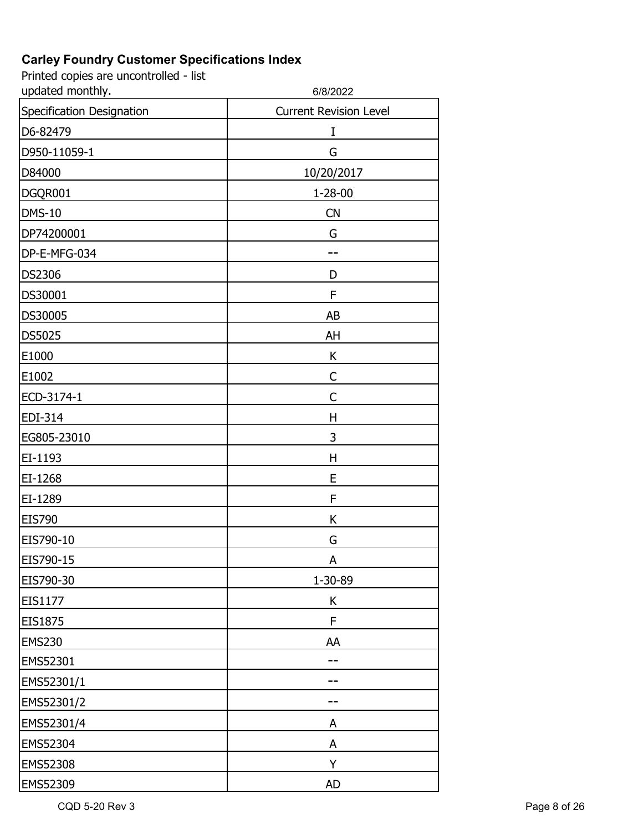| updated monthly.          | 6/8/2022                      |
|---------------------------|-------------------------------|
| Specification Designation | <b>Current Revision Level</b> |
| D6-82479                  | Ι                             |
| D950-11059-1              | G                             |
| D84000                    | 10/20/2017                    |
| DGQR001                   | $1 - 28 - 00$                 |
| <b>DMS-10</b>             | <b>CN</b>                     |
| DP74200001                | G                             |
| DP-E-MFG-034              |                               |
| <b>DS2306</b>             | D                             |
| DS30001                   | F                             |
| DS30005                   | AB                            |
| DS5025                    | AH                            |
| E1000                     | K                             |
| E1002                     | $\mathsf{C}$                  |
| ECD-3174-1                | C                             |
| EDI-314                   | Н                             |
| EG805-23010               | 3                             |
| EI-1193                   | H                             |
| EI-1268                   | E                             |
| EI-1289                   | F                             |
| <b>EIS790</b>             | K                             |
| EIS790-10                 | G                             |
| EIS790-15                 | A                             |
| EIS790-30                 | 1-30-89                       |
| EIS1177                   | К                             |
| EIS1875                   | F                             |
| <b>EMS230</b>             | AA                            |
| EMS52301                  |                               |
| EMS52301/1                |                               |
| EMS52301/2                |                               |
| EMS52301/4                | A                             |
| EMS52304                  | A                             |
| EMS52308                  | Υ                             |
| EMS52309                  | <b>AD</b>                     |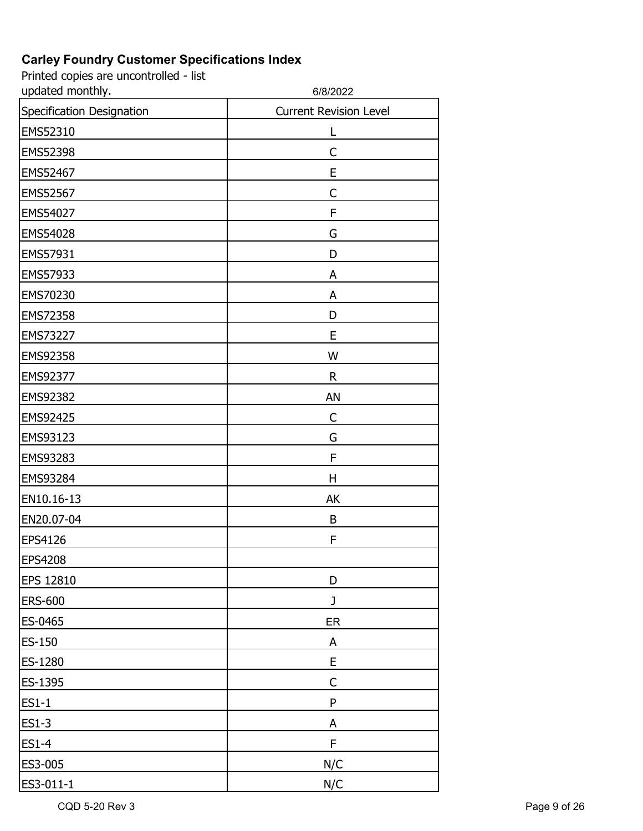| updated monthly.          | 6/8/2022                      |
|---------------------------|-------------------------------|
| Specification Designation | <b>Current Revision Level</b> |
| EMS52310                  | L                             |
| EMS52398                  | $\mathsf{C}$                  |
| EMS52467                  | E                             |
| EMS52567                  | $\mathsf{C}$                  |
| EMS54027                  | F                             |
| EMS54028                  | G                             |
| EMS57931                  | D                             |
| EMS57933                  | A                             |
| EMS70230                  | A                             |
| EMS72358                  | D                             |
| EMS73227                  | E                             |
| EMS92358                  | W                             |
| EMS92377                  | $\mathsf R$                   |
| EMS92382                  | AN                            |
| EMS92425                  | C                             |
| EMS93123                  | G                             |
| EMS93283                  | F                             |
| EMS93284                  | Н                             |
| EN10.16-13                | AK                            |
| EN20.07-04                | B                             |
| EPS4126                   | F                             |
| EPS4208                   |                               |
| <b>EPS 12810</b>          | D                             |
| <b>ERS-600</b>            | J                             |
| ES-0465                   | ER                            |
| ES-150                    | A                             |
| ES-1280                   | E                             |
| ES-1395                   | C                             |
| ES1-1                     | ${\sf P}$                     |
| ES1-3                     | A                             |
| <b>ES1-4</b>              | F                             |
| ES3-005                   | N/C                           |
| ES3-011-1                 | N/C                           |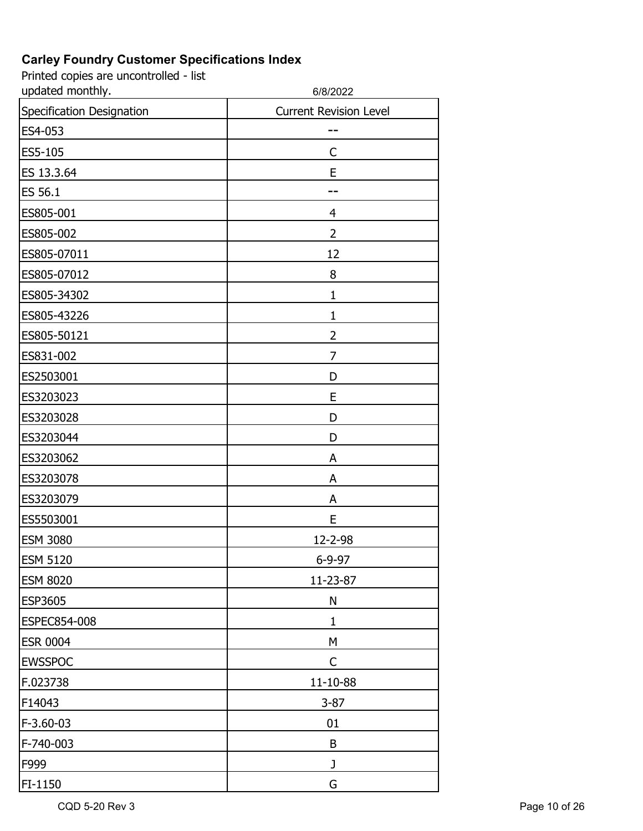| updated monthly.          | 6/8/2022                      |
|---------------------------|-------------------------------|
| Specification Designation | <b>Current Revision Level</b> |
| ES4-053                   |                               |
| ES5-105                   | $\mathsf{C}$                  |
| ES 13.3.64                | E                             |
| ES 56.1                   |                               |
| ES805-001                 | $\overline{4}$                |
| ES805-002                 | $\overline{2}$                |
| ES805-07011               | 12                            |
| ES805-07012               | 8                             |
| ES805-34302               | 1                             |
| ES805-43226               | $\mathbf{1}$                  |
| ES805-50121               | $\overline{2}$                |
| ES831-002                 | 7                             |
| ES2503001                 | D                             |
| ES3203023                 | E                             |
| ES3203028                 | D                             |
| ES3203044                 | D                             |
| ES3203062                 | A                             |
| ES3203078                 | A                             |
| ES3203079                 | A                             |
| ES5503001                 | E                             |
| <b>ESM 3080</b>           | 12-2-98                       |
| <b>ESM 5120</b>           | 6-9-97                        |
| <b>ESM 8020</b>           | 11-23-87                      |
| <b>ESP3605</b>            | N                             |
| ESPEC854-008              | 1                             |
| <b>ESR 0004</b>           | M                             |
| <b>EWSSPOC</b>            | $\mathsf{C}$                  |
| F.023738                  | $11 - 10 - 88$                |
| F14043                    | $3 - 87$                      |
| F-3.60-03                 | 01                            |
| F-740-003                 | B                             |
| F999                      | J                             |
| FI-1150                   | G                             |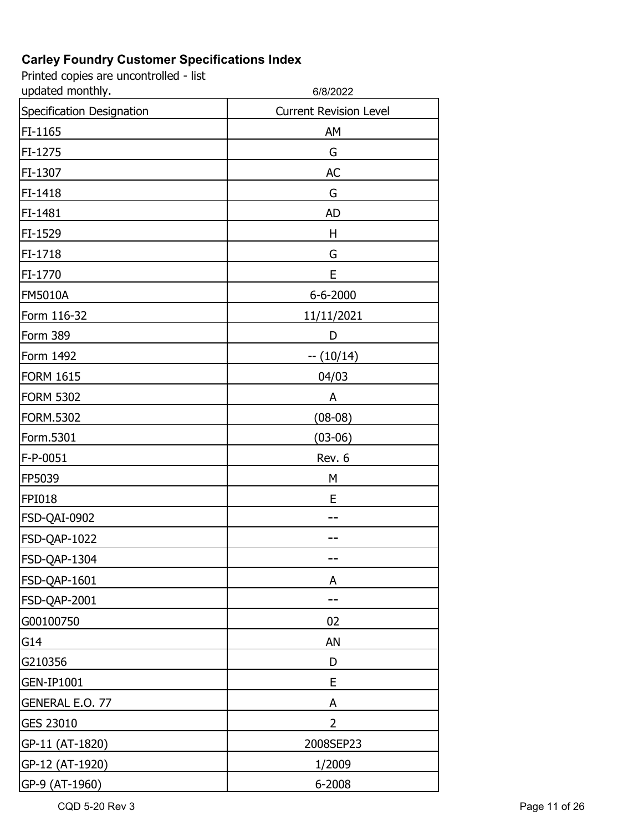Printed copies are uncontrolled - list

| updated monthly.          | 6/8/2022                      |
|---------------------------|-------------------------------|
| Specification Designation | <b>Current Revision Level</b> |
| FI-1165                   | AM                            |
| FI-1275                   | G                             |
| FI-1307                   | <b>AC</b>                     |
| FI-1418                   | G                             |
| FI-1481                   | <b>AD</b>                     |
| FI-1529                   | H                             |
| FI-1718                   | G                             |
| FI-1770                   | E                             |
| <b>FM5010A</b>            | 6-6-2000                      |
| Form 116-32               | 11/11/2021                    |
| Form 389                  | D                             |
| Form 1492                 | $-(10/14)$                    |
| <b>FORM 1615</b>          | 04/03                         |
| <b>FORM 5302</b>          | A                             |
| FORM.5302                 | $(08-08)$                     |
| Form.5301                 | $(03-06)$                     |
| F-P-0051                  | Rev. 6                        |
| FP5039                    | M                             |
| <b>FPI018</b>             | Ε                             |
| FSD-QAI-0902              |                               |
| FSD-QAP-1022              |                               |
| FSD-QAP-1304              |                               |
| FSD-QAP-1601              | A                             |
| FSD-QAP-2001              |                               |
| G00100750                 | 02                            |
| G14                       | AN                            |
| G210356                   | D                             |
| <b>GEN-IP1001</b>         | E                             |
| GENERAL E.O. 77           | A                             |
| GES 23010                 | 2                             |
| GP-11 (AT-1820)           | 2008SEP23                     |
| GP-12 (AT-1920)           | 1/2009                        |
| GP-9 (AT-1960)            | 6-2008                        |

CQD 5-20 Rev 3 Page 11 of 26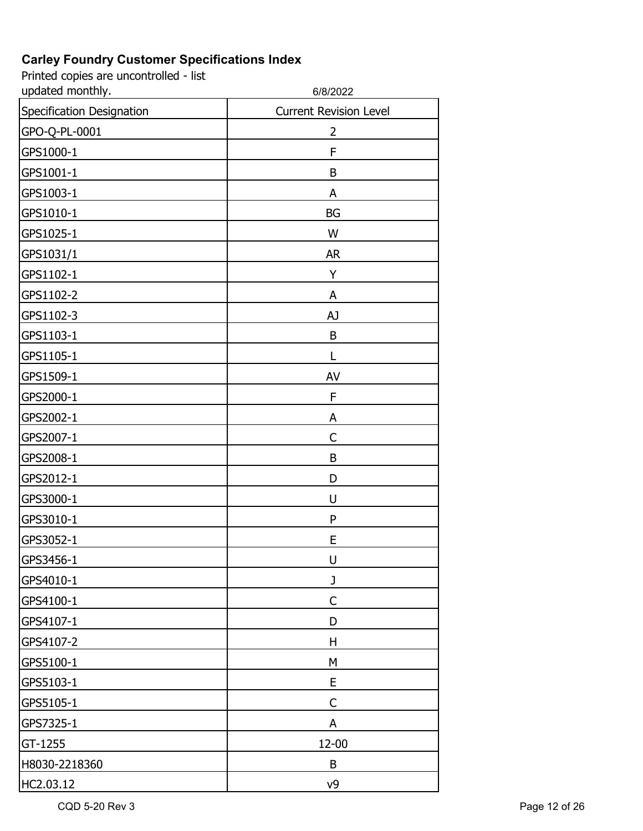| updated monthly.          | 6/8/2022                      |
|---------------------------|-------------------------------|
| Specification Designation | <b>Current Revision Level</b> |
| GPO-Q-PL-0001             | 2                             |
| GPS1000-1                 | F                             |
| GPS1001-1                 | B                             |
| GPS1003-1                 | A                             |
| GPS1010-1                 | <b>BG</b>                     |
| GPS1025-1                 | W                             |
| GPS1031/1                 | <b>AR</b>                     |
| GPS1102-1                 | Y                             |
| GPS1102-2                 | A                             |
| GPS1102-3                 | AJ                            |
| GPS1103-1                 | B                             |
| GPS1105-1                 | L                             |
| GPS1509-1                 | AV                            |
| GPS2000-1                 | F                             |
| GPS2002-1                 | A                             |
| GPS2007-1                 | C                             |
| GPS2008-1                 | B                             |
| GPS2012-1                 | D                             |
| GPS3000-1                 | U                             |
| GPS3010-1                 | P                             |
| GPS3052-1                 | E                             |
| GPS3456-1                 | U                             |
| GPS4010-1                 | J                             |
| GPS4100-1                 | C                             |
| GPS4107-1                 | D                             |
| GPS4107-2                 | H                             |
| GPS5100-1                 | M                             |
| GPS5103-1                 | E                             |
| GPS5105-1                 | C                             |
| GPS7325-1                 | A                             |
| GT-1255                   | 12-00                         |
| H8030-2218360             | B                             |
| HC2.03.12                 | v9                            |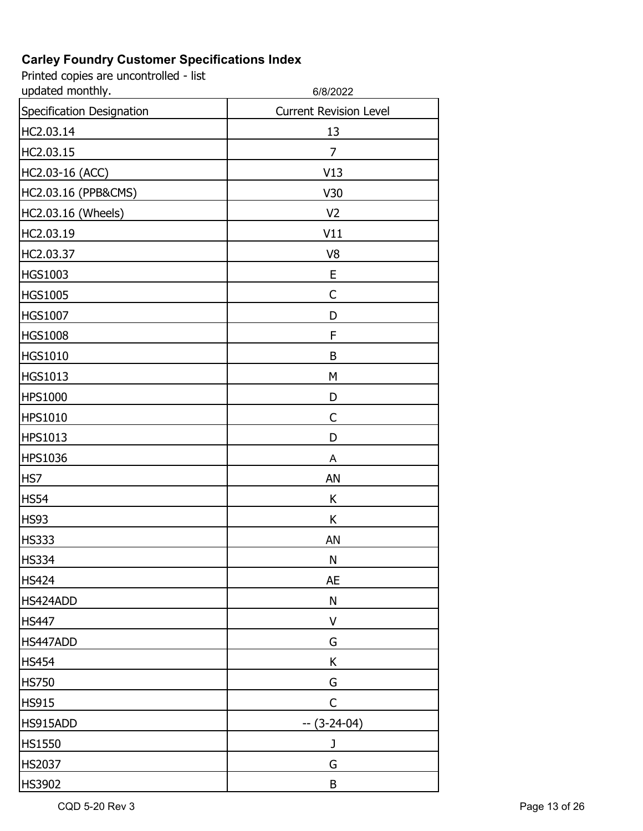| updated monthly.          | 6/8/2022                      |
|---------------------------|-------------------------------|
| Specification Designation | <b>Current Revision Level</b> |
| HC2.03.14                 | 13                            |
| HC2.03.15                 | 7                             |
| HC2.03-16 (ACC)           | V13                           |
| HC2.03.16 (PPB&CMS)       | V30                           |
| HC2.03.16 (Wheels)        | V <sub>2</sub>                |
| HC2.03.19                 | V11                           |
| HC2.03.37                 | V <sub>8</sub>                |
| HGS1003                   | E                             |
| <b>HGS1005</b>            | $\mathsf{C}$                  |
| <b>HGS1007</b>            | D                             |
| <b>HGS1008</b>            | F                             |
| <b>HGS1010</b>            | B                             |
| <b>HGS1013</b>            | M                             |
| <b>HPS1000</b>            | D                             |
| <b>HPS1010</b>            | C                             |
| <b>HPS1013</b>            | D                             |
| <b>HPS1036</b>            | A                             |
| HS7                       | AN                            |
| <b>HS54</b>               | К                             |
| <b>HS93</b>               | К                             |
| <b>HS333</b>              | AN                            |
| <b>HS334</b>              | $\mathsf{N}$                  |
| <b>HS424</b>              | <b>AE</b>                     |
| HS424ADD                  | N                             |
| <b>HS447</b>              | $\vee$                        |
| HS447ADD                  | G                             |
| <b>HS454</b>              | K                             |
| <b>HS750</b>              | G                             |
| <b>HS915</b>              | $\mathsf{C}$                  |
| HS915ADD                  | $-(3-24-04)$                  |
| <b>HS1550</b>             | J                             |
| <b>HS2037</b>             | G                             |
| HS3902                    | $\sf B$                       |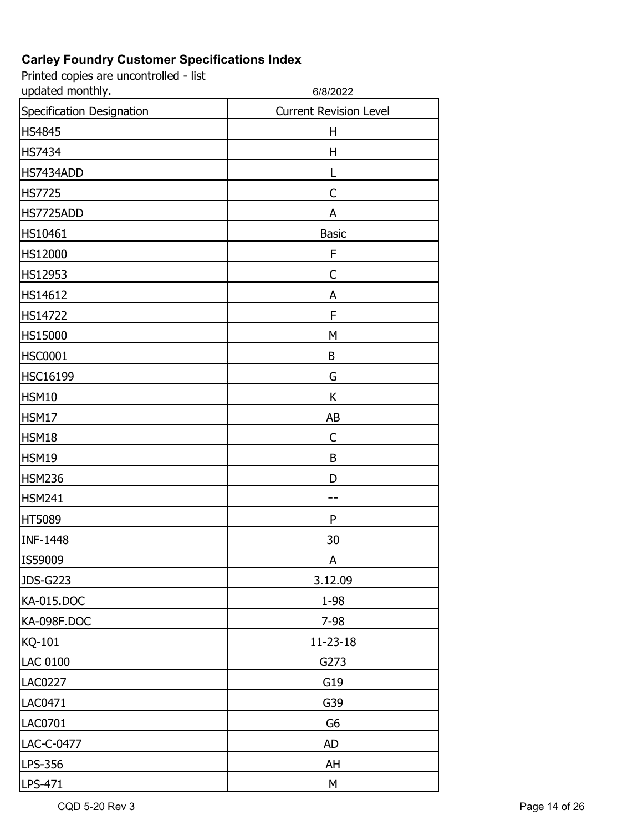| updated monthly.          | 6/8/2022                      |
|---------------------------|-------------------------------|
| Specification Designation | <b>Current Revision Level</b> |
| <b>HS4845</b>             | Н                             |
| <b>HS7434</b>             | Η                             |
| HS7434ADD                 | L                             |
| <b>HS7725</b>             | C                             |
| HS7725ADD                 | A                             |
| HS10461                   | <b>Basic</b>                  |
| HS12000                   | F                             |
| HS12953                   | $\mathsf{C}$                  |
| HS14612                   | A                             |
| HS14722                   | F                             |
| HS15000                   | M                             |
| <b>HSC0001</b>            | B                             |
| <b>HSC16199</b>           | G                             |
| <b>HSM10</b>              | K                             |
| <b>HSM17</b>              | AB                            |
| <b>HSM18</b>              | C                             |
| <b>HSM19</b>              | B                             |
| <b>HSM236</b>             | D                             |
| <b>HSM241</b>             |                               |
| HT5089                    | P                             |
| <b>INF-1448</b>           | 30                            |
| IS59009                   | A                             |
| <b>JDS-G223</b>           | 3.12.09                       |
| KA-015.DOC                | 1-98                          |
| KA-098F.DOC               | $7 - 98$                      |
| KQ-101                    | 11-23-18                      |
| <b>LAC 0100</b>           | G273                          |
| LAC0227                   | G19                           |
| LAC0471                   | G39                           |
| LAC0701                   | G <sub>6</sub>                |
| LAC-C-0477                | <b>AD</b>                     |
| LPS-356                   | AH                            |
| LPS-471                   | M                             |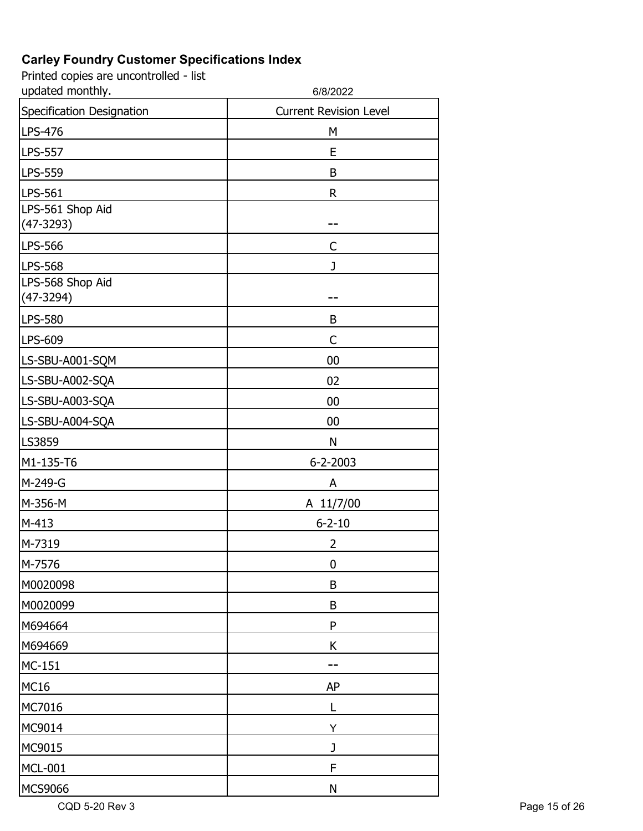Printed copies are uncontrolled - list

| updated monthly.                | 6/8/2022                      |
|---------------------------------|-------------------------------|
| Specification Designation       | <b>Current Revision Level</b> |
| LPS-476                         | M                             |
| <b>LPS-557</b>                  | E                             |
| <b>LPS-559</b>                  | B                             |
| LPS-561                         | $\mathsf R$                   |
| LPS-561 Shop Aid<br>$(47-3293)$ |                               |
| <b>LPS-566</b>                  | C                             |
| <b>LPS-568</b>                  | J                             |
| LPS-568 Shop Aid<br>$(47-3294)$ |                               |
| <b>LPS-580</b>                  | B                             |
| LPS-609                         | $\mathsf{C}$                  |
| LS-SBU-A001-SQM                 | 00                            |
| LS-SBU-A002-SQA                 | 02                            |
| LS-SBU-A003-SQA                 | 00                            |
| LS-SBU-A004-SQA                 | 00                            |
| LS3859                          | N                             |
| M1-135-T6                       | $6 - 2 - 2003$                |
| M-249-G                         | A                             |
| M-356-M                         | A 11/7/00                     |
| M-413                           | $6 - 2 - 10$                  |
| M-7319                          | 2                             |
| M-7576                          | 0                             |
| M0020098                        | $\sf B$                       |
| M0020099                        | B                             |
| M694664                         | P                             |
| M694669                         | K                             |
| MC-151                          |                               |
| <b>MC16</b>                     | <b>AP</b>                     |
| MC7016                          | L                             |
| MC9014                          | Υ                             |
| MC9015                          | J                             |
| <b>MCL-001</b>                  | F                             |
| <b>MCS9066</b>                  | N                             |

CQD 5-20 Rev 3 Page 15 of 26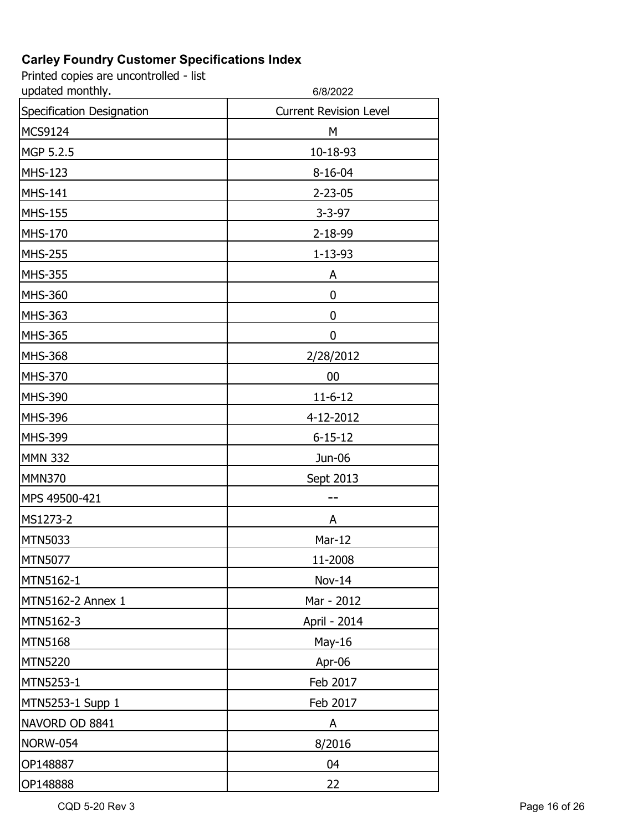Printed copies are uncontrolled - list

| updated monthly.          | 6/8/2022                      |
|---------------------------|-------------------------------|
| Specification Designation | <b>Current Revision Level</b> |
| MCS9124                   | M                             |
| MGP 5.2.5                 | 10-18-93                      |
| <b>MHS-123</b>            | $8 - 16 - 04$                 |
| <b>MHS-141</b>            | $2 - 23 - 05$                 |
| <b>MHS-155</b>            | $3 - 3 - 97$                  |
| <b>MHS-170</b>            | 2-18-99                       |
| <b>MHS-255</b>            | $1 - 13 - 93$                 |
| <b>MHS-355</b>            | A                             |
| <b>MHS-360</b>            | 0                             |
| <b>MHS-363</b>            | 0                             |
| <b>MHS-365</b>            | 0                             |
| <b>MHS-368</b>            | 2/28/2012                     |
| MHS-370                   | 00                            |
| MHS-390                   | $11 - 6 - 12$                 |
| MHS-396                   | 4-12-2012                     |
| <b>MHS-399</b>            | $6 - 15 - 12$                 |
| <b>MMN 332</b>            | Jun-06                        |
| <b>MMN370</b>             | Sept 2013                     |
| MPS 49500-421             |                               |
| MS1273-2                  | A                             |
| MTN5033                   | Mar-12                        |
| MTN5077                   | 11-2008                       |
| MTN5162-1                 | Nov-14                        |
| MTN5162-2 Annex 1         | Mar - 2012                    |
| MTN5162-3                 | April - 2014                  |
| <b>MTN5168</b>            | May-16                        |
| <b>MTN5220</b>            | Apr-06                        |
| MTN5253-1                 | Feb 2017                      |
| MTN5253-1 Supp 1          | Feb 2017                      |
| NAVORD OD 8841            | A                             |
| <b>NORW-054</b>           | 8/2016                        |
| OP148887                  | 04                            |
| OP148888                  | 22                            |

CQD 5-20 Rev 3 Page 16 of 26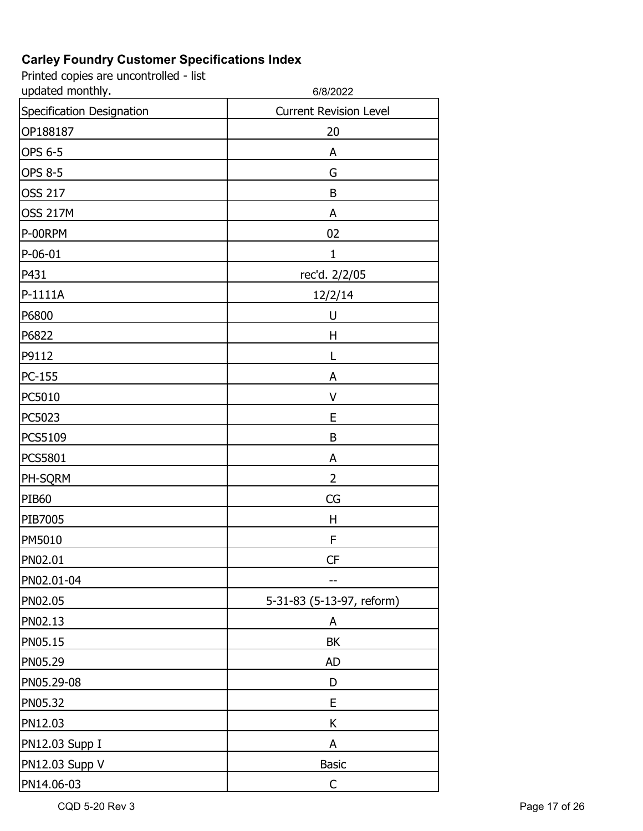| updated monthly.          | 6/8/2022                      |
|---------------------------|-------------------------------|
| Specification Designation | <b>Current Revision Level</b> |
| OP188187                  | 20                            |
| <b>OPS 6-5</b>            | A                             |
| <b>OPS 8-5</b>            | G                             |
| <b>OSS 217</b>            | B                             |
| <b>OSS 217M</b>           | A                             |
| P-00RPM                   | 02                            |
| $P-06-01$                 | $\mathbf{1}$                  |
| P431                      | rec'd. 2/2/05                 |
| P-1111A                   | 12/2/14                       |
| P6800                     | U                             |
| P6822                     | Η                             |
| P9112                     | L                             |
| PC-155                    | A                             |
| PC5010                    | $\vee$                        |
| PC5023                    | E                             |
| PCS5109                   | B                             |
| PCS5801                   | A                             |
| PH-SQRM                   | $\overline{2}$                |
| <b>PIB60</b>              | CG                            |
| PIB7005                   | $\mathsf{H}$                  |
| PM5010                    | F                             |
| PN02.01                   | <b>CF</b>                     |
| PN02.01-04                |                               |
| PN02.05                   | 5-31-83 (5-13-97, reform)     |
| PN02.13                   | A                             |
| PN05.15                   | <b>BK</b>                     |
| PN05.29                   | <b>AD</b>                     |
| PN05.29-08                | D                             |
| PN05.32                   | E                             |
| PN12.03                   | К                             |
| PN12.03 Supp I            | A                             |
| PN12.03 Supp V            | <b>Basic</b>                  |
| PN14.06-03                | $\mathsf{C}$                  |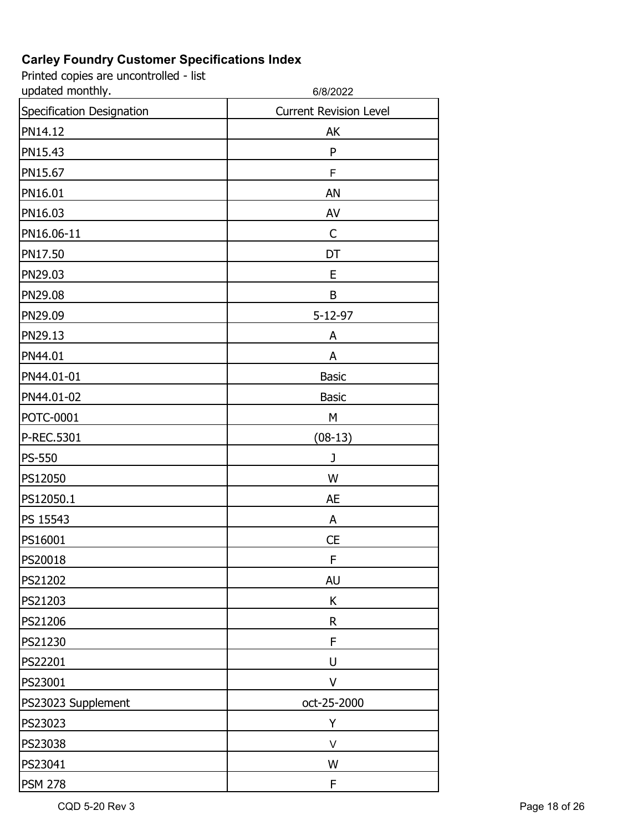| updated monthly.          | 6/8/2022                      |
|---------------------------|-------------------------------|
| Specification Designation | <b>Current Revision Level</b> |
| PN14.12                   | AK                            |
| PN15.43                   | P                             |
| PN15.67                   | F                             |
| PN16.01                   | AN                            |
| PN16.03                   | AV                            |
| PN16.06-11                | $\mathsf{C}$                  |
| PN17.50                   | DT                            |
| PN29.03                   | E                             |
| PN29.08                   | B                             |
| PN29.09                   | $5 - 12 - 97$                 |
| PN29.13                   | A                             |
| PN44.01                   | A                             |
| PN44.01-01                | <b>Basic</b>                  |
| PN44.01-02                | <b>Basic</b>                  |
| <b>POTC-0001</b>          | М                             |
| P-REC.5301                | $(08-13)$                     |
| <b>PS-550</b>             | J                             |
| PS12050                   | W                             |
| PS12050.1                 | <b>AE</b>                     |
| PS 15543                  | A                             |
| PS16001                   | <b>CE</b>                     |
| PS20018                   | F                             |
| PS21202                   | <b>AU</b>                     |
| PS21203                   | К                             |
| PS21206                   | $\mathsf R$                   |
| PS21230                   | F                             |
| PS22201                   | U                             |
| PS23001                   | V                             |
| PS23023 Supplement        | oct-25-2000                   |
| PS23023                   | Υ                             |
| PS23038                   | V                             |
| PS23041                   | W                             |
| <b>PSM 278</b>            | F                             |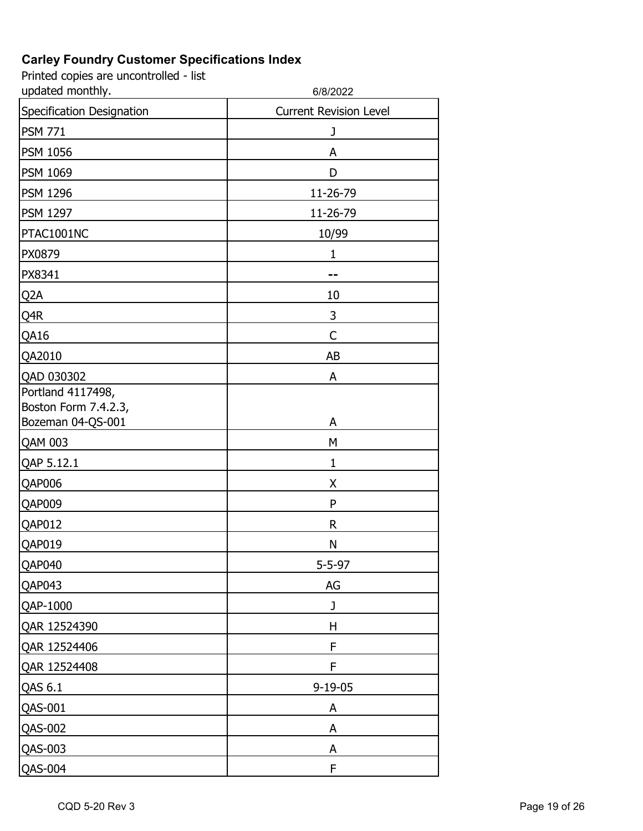| updated monthly.                                               | 6/8/2022                      |
|----------------------------------------------------------------|-------------------------------|
| Specification Designation                                      | <b>Current Revision Level</b> |
| <b>PSM 771</b>                                                 | J                             |
| <b>PSM 1056</b>                                                | A                             |
| <b>PSM 1069</b>                                                | D                             |
| <b>PSM 1296</b>                                                | 11-26-79                      |
| <b>PSM 1297</b>                                                | 11-26-79                      |
| PTAC1001NC                                                     | 10/99                         |
| PX0879                                                         | $\mathbf{1}$                  |
| PX8341                                                         |                               |
| Q <sub>2</sub> A                                               | 10                            |
| Q4R                                                            | 3                             |
| QA16                                                           | C                             |
| QA2010                                                         | AB                            |
| QAD 030302                                                     | A                             |
| Portland 4117498,<br>Boston Form 7.4.2.3,<br>Bozeman 04-QS-001 | A                             |
| <b>QAM 003</b>                                                 | M                             |
| QAP 5.12.1                                                     | $\mathbf{1}$                  |
| QAP006                                                         | Χ                             |
| QAP009                                                         | P                             |
| QAP012                                                         | R                             |
| QAP019                                                         | N                             |
| QAP040                                                         | $5 - 5 - 97$                  |
| QAP043                                                         | AG                            |
| QAP-1000                                                       | J                             |
| QAR 12524390                                                   | H                             |
| QAR 12524406                                                   | F                             |
| QAR 12524408                                                   | F                             |
| QAS 6.1                                                        | $9 - 19 - 05$                 |
| <b>QAS-001</b>                                                 | A                             |
| QAS-002                                                        | A                             |
| QAS-003                                                        | A                             |
| <b>QAS-004</b>                                                 | F                             |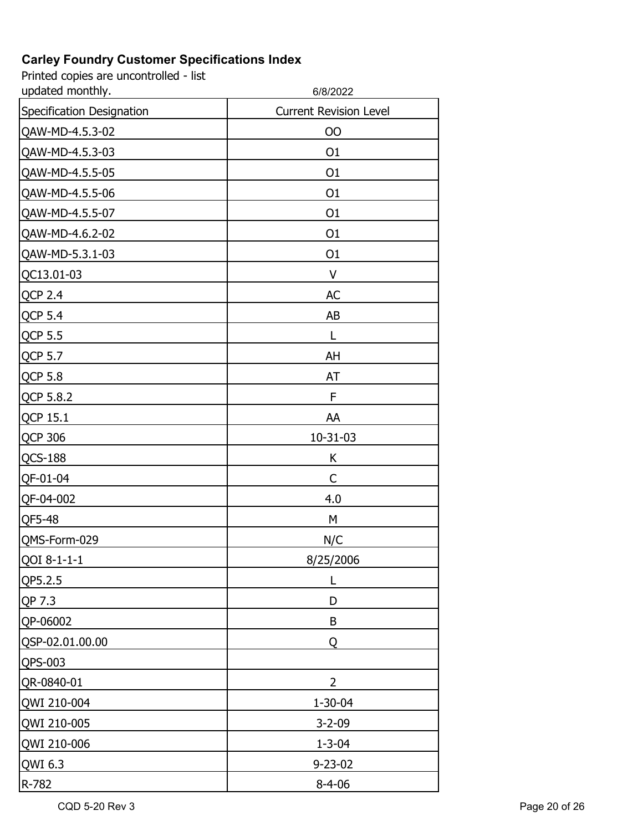| updated monthly.          | 6/8/2022                      |
|---------------------------|-------------------------------|
| Specification Designation | <b>Current Revision Level</b> |
| QAW-MD-4.5.3-02           | <b>OO</b>                     |
| QAW-MD-4.5.3-03           | O <sub>1</sub>                |
| QAW-MD-4.5.5-05           | O <sub>1</sub>                |
| QAW-MD-4.5.5-06           | O <sub>1</sub>                |
| QAW-MD-4.5.5-07           | O <sub>1</sub>                |
| QAW-MD-4.6.2-02           | O <sub>1</sub>                |
| QAW-MD-5.3.1-03           | O <sub>1</sub>                |
| QC13.01-03                | V                             |
| <b>QCP 2.4</b>            | <b>AC</b>                     |
| <b>QCP 5.4</b>            | AB                            |
| <b>QCP 5.5</b>            | L                             |
| QCP 5.7                   | AH                            |
| <b>QCP 5.8</b>            | AT                            |
| QCP 5.8.2                 | F                             |
| QCP 15.1                  | AA                            |
| <b>QCP 306</b>            | $10 - 31 - 03$                |
| <b>QCS-188</b>            | К                             |
| QF-01-04                  | C                             |
| QF-04-002                 | 4.0                           |
| QF5-48                    | М                             |
| QMS-Form-029              | N/C                           |
| QOI 8-1-1-1               | 8/25/2006                     |
| QP5.2.5                   |                               |
| QP 7.3                    | D                             |
| QP-06002                  | B                             |
| QSP-02.01.00.00           | Q                             |
| QPS-003                   |                               |
| QR-0840-01                | $\overline{2}$                |
| QWI 210-004               | $1 - 30 - 04$                 |
| QWI 210-005               | $3 - 2 - 09$                  |
| QWI 210-006               | $1 - 3 - 04$                  |
| QWI 6.3                   | $9 - 23 - 02$                 |
| R-782                     | $8 - 4 - 06$                  |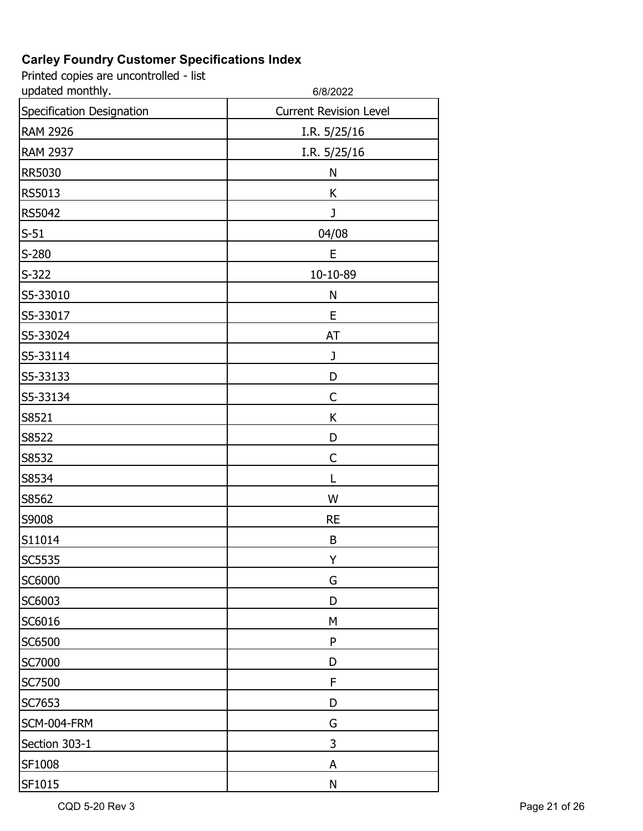| updated monthly.          | 6/8/2022                      |
|---------------------------|-------------------------------|
| Specification Designation | <b>Current Revision Level</b> |
| <b>RAM 2926</b>           | I.R. 5/25/16                  |
| <b>RAM 2937</b>           | I.R. 5/25/16                  |
| <b>RR5030</b>             | N                             |
| RS5013                    | K                             |
| <b>RS5042</b>             | J                             |
| $S-51$                    | 04/08                         |
| $S-280$                   | E                             |
| $S-322$                   | 10-10-89                      |
| S5-33010                  | N                             |
| S5-33017                  | E                             |
| S5-33024                  | AT                            |
| S5-33114                  | J                             |
| S5-33133                  | D                             |
| S5-33134                  | C                             |
| S8521                     | К                             |
| S8522                     | D                             |
| S8532                     | $\mathsf{C}$                  |
| S8534                     | L                             |
| S8562                     | W                             |
| S9008                     | <b>RE</b>                     |
| S11014                    | B                             |
| <b>SC5535</b>             | Y                             |
| SC6000                    | G                             |
| SC6003                    | D                             |
| SC6016                    | М                             |
| SC6500                    | ${\sf P}$                     |
| <b>SC7000</b>             | D                             |
| SC7500                    | F                             |
| SC7653                    | D                             |
| SCM-004-FRM               | G                             |
| Section 303-1             | 3                             |
| SF1008                    | A                             |
| SF1015                    | ${\sf N}$                     |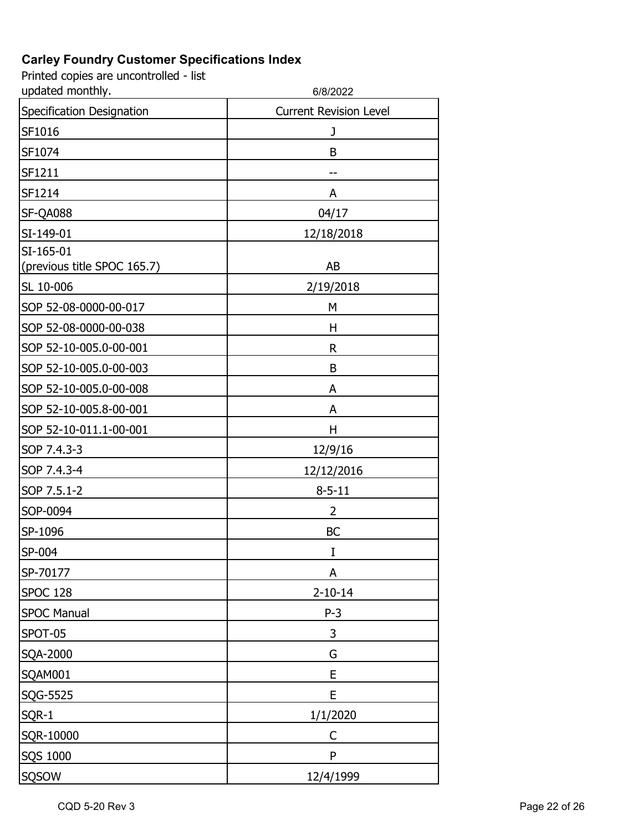| updated monthly.                         | 6/8/2022                      |
|------------------------------------------|-------------------------------|
| Specification Designation                | <b>Current Revision Level</b> |
| SF1016                                   | J                             |
| SF1074                                   | B                             |
| SF1211                                   |                               |
| SF1214                                   | A                             |
| SF-QA088                                 | 04/17                         |
| SI-149-01                                | 12/18/2018                    |
| SI-165-01<br>(previous title SPOC 165.7) | AB                            |
| SL 10-006                                | 2/19/2018                     |
| SOP 52-08-0000-00-017                    | M                             |
| SOP 52-08-0000-00-038                    | н                             |
| SOP 52-10-005.0-00-001                   | R                             |
| SOP 52-10-005.0-00-003                   | B                             |
| SOP 52-10-005.0-00-008                   | A                             |
| SOP 52-10-005.8-00-001                   | A                             |
| SOP 52-10-011.1-00-001                   | Н                             |
| SOP 7.4.3-3                              | 12/9/16                       |
| SOP 7.4.3-4                              | 12/12/2016                    |
| SOP 7.5.1-2                              | $8 - 5 - 11$                  |
| SOP-0094                                 | 2                             |
| SP-1096                                  | <b>BC</b>                     |
| SP-004                                   | I                             |
| SP-70177                                 | A                             |
| <b>SPOC 128</b>                          | $2 - 10 - 14$                 |
| <b>SPOC Manual</b>                       | $P-3$                         |
| SPOT-05                                  | 3                             |
| SQA-2000                                 | G                             |
| SQAM001                                  | E                             |
| SQG-5525                                 | E                             |
| SQR-1                                    | 1/1/2020                      |
| SQR-10000                                | C                             |
| SQS 1000                                 | P                             |
| SQSOW                                    | 12/4/1999                     |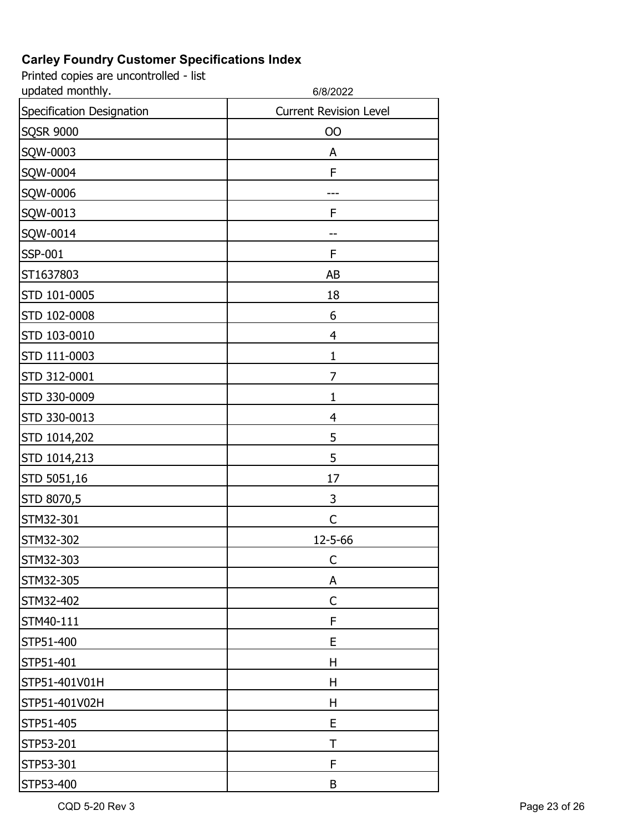| updated monthly.          | 6/8/2022                      |
|---------------------------|-------------------------------|
| Specification Designation | <b>Current Revision Level</b> |
| <b>SQSR 9000</b>          | OO                            |
| SQW-0003                  | A                             |
| SQW-0004                  | F                             |
| SQW-0006                  |                               |
| SQW-0013                  | F                             |
| SQW-0014                  |                               |
| <b>SSP-001</b>            | F                             |
| ST1637803                 | AB                            |
| STD 101-0005              | 18                            |
| STD 102-0008              | 6                             |
| STD 103-0010              | $\overline{4}$                |
| STD 111-0003              | $\mathbf{1}$                  |
| STD 312-0001              | 7                             |
| STD 330-0009              | $\mathbf{1}$                  |
| STD 330-0013              | $\overline{4}$                |
| STD 1014,202              | 5                             |
| STD 1014,213              | 5                             |
| STD 5051,16               | 17                            |
| STD 8070,5                | 3                             |
| STM32-301                 | C                             |
| STM32-302                 | 12-5-66                       |
| STM32-303                 | C                             |
| STM32-305                 | A                             |
| STM32-402                 | C                             |
| STM40-111                 | F                             |
| STP51-400                 | E                             |
| STP51-401                 | Н                             |
| STP51-401V01H             | H                             |
| STP51-401V02H             | Η                             |
| STP51-405                 | E                             |
| STP53-201                 | T                             |
| STP53-301                 | F                             |
| STP53-400                 | B                             |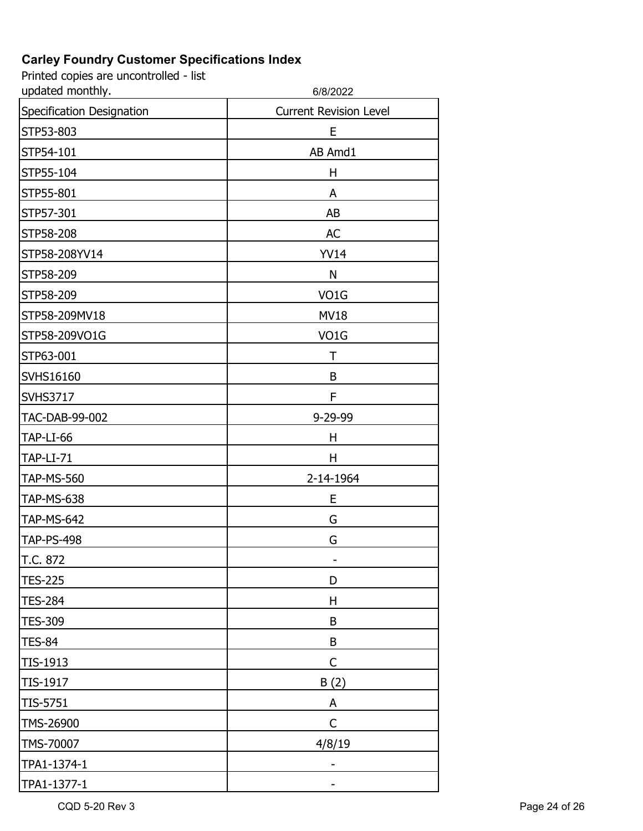| updated monthly.          | 6/8/2022                      |
|---------------------------|-------------------------------|
| Specification Designation | <b>Current Revision Level</b> |
| STP53-803                 | E                             |
| STP54-101                 | AB Amd1                       |
| STP55-104                 | н                             |
| STP55-801                 | A                             |
| STP57-301                 | AB                            |
| STP58-208                 | <b>AC</b>                     |
| STP58-208YV14             | <b>YV14</b>                   |
| STP58-209                 | $\mathsf{N}$                  |
| STP58-209                 | VO <sub>1</sub> G             |
| STP58-209MV18             | <b>MV18</b>                   |
| STP58-209VO1G             | VO <sub>1</sub> G             |
| STP63-001                 | T                             |
| SVHS16160                 | B                             |
| <b>SVHS3717</b>           | F                             |
| TAC-DAB-99-002            | 9-29-99                       |
| TAP-LI-66                 | H                             |
| <b>TAP-LI-71</b>          | H                             |
| <b>TAP-MS-560</b>         | 2-14-1964                     |
| <b>TAP-MS-638</b>         | E                             |
| <b>TAP-MS-642</b>         | G                             |
| <b>TAP-PS-498</b>         | G                             |
| T.C. 872                  | ۳                             |
| <b>TES-225</b>            | D                             |
| <b>TES-284</b>            | H                             |
| <b>TES-309</b>            | B                             |
| <b>TES-84</b>             | B                             |
| TIS-1913                  | $\mathsf C$                   |
| TIS-1917                  | B(2)                          |
| TIS-5751                  | A                             |
| TMS-26900                 | C                             |
| TMS-70007                 | 4/8/19                        |
| TPA1-1374-1               |                               |
| TPA1-1377-1               |                               |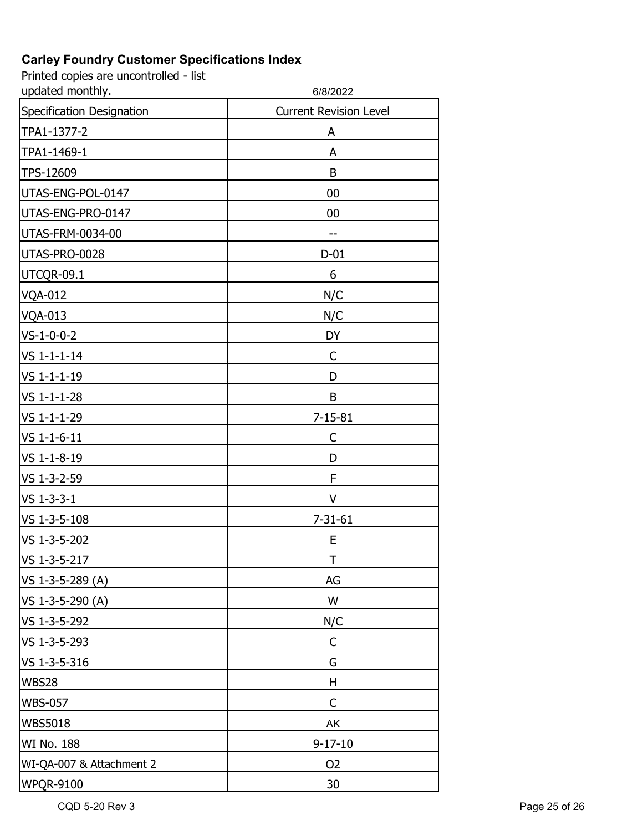Printed copies are uncontrolled - list

| updated monthly.          | 6/8/2022                      |
|---------------------------|-------------------------------|
| Specification Designation | <b>Current Revision Level</b> |
| TPA1-1377-2               | A                             |
| TPA1-1469-1               | A                             |
| TPS-12609                 | B                             |
| UTAS-ENG-POL-0147         | 00                            |
| UTAS-ENG-PRO-0147         | 00                            |
| UTAS-FRM-0034-00          | --                            |
| UTAS-PRO-0028             | $D-01$                        |
| UTCQR-09.1                | 6                             |
| <b>VQA-012</b>            | N/C                           |
| <b>VQA-013</b>            | N/C                           |
| $VS - 1 - 0 - 0 - 2$      | DY                            |
| VS 1-1-1-14               | C                             |
| VS 1-1-1-19               | D                             |
| VS 1-1-1-28               | B                             |
| VS 1-1-1-29               | $7 - 15 - 81$                 |
| VS 1-1-6-11               | С                             |
| VS 1-1-8-19               | D                             |
| VS 1-3-2-59               | F                             |
| VS 1-3-3-1                | V                             |
| VS 1-3-5-108              | $7 - 31 - 61$                 |
| VS 1-3-5-202              | E                             |
| VS 1-3-5-217              | Τ                             |
| VS 1-3-5-289 (A)          | AG                            |
| VS 1-3-5-290 (A)          | W                             |
| VS 1-3-5-292              | N/C                           |
| VS 1-3-5-293              | C                             |
| VS 1-3-5-316              | G                             |
| <b>WBS28</b>              | Н                             |
| <b>WBS-057</b>            | C                             |
| <b>WBS5018</b>            | AK                            |
| WI No. 188                | $9 - 17 - 10$                 |
| WI-QA-007 & Attachment 2  | O <sub>2</sub>                |
| <b>WPQR-9100</b>          | 30                            |

CQD 5-20 Rev 3 Page 25 of 26